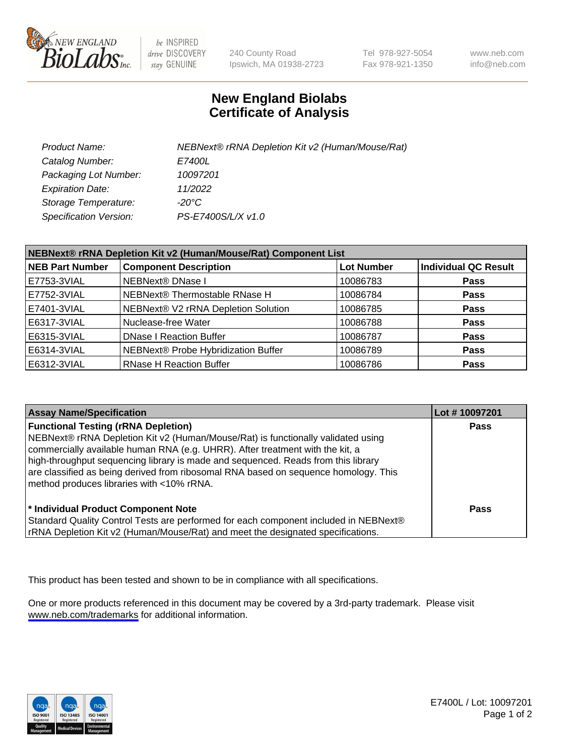

be INSPIRED drive DISCOVERY stay GENUINE

240 County Road Ipswich, MA 01938-2723 Tel 978-927-5054 Fax 978-921-1350

www.neb.com info@neb.com

## **New England Biolabs Certificate of Analysis**

| Product Name:                 | NEBNext® rRNA Depletion Kit v2 (Human/Mouse/Rat) |
|-------------------------------|--------------------------------------------------|
| Catalog Number:               | <i>E7400L</i>                                    |
| Packaging Lot Number:         | 10097201                                         |
| <b>Expiration Date:</b>       | 11/2022                                          |
| Storage Temperature:          | -20°C                                            |
| <b>Specification Version:</b> | PS-E7400S/L/X v1.0                               |

| NEBNext® rRNA Depletion Kit v2 (Human/Mouse/Rat) Component List |                                     |                   |                             |  |
|-----------------------------------------------------------------|-------------------------------------|-------------------|-----------------------------|--|
| <b>NEB Part Number</b>                                          | <b>Component Description</b>        | <b>Lot Number</b> | <b>Individual QC Result</b> |  |
| E7753-3VIAL                                                     | <b>NEBNext® DNase I</b>             | 10086783          | <b>Pass</b>                 |  |
| E7752-3VIAL                                                     | NEBNext® Thermostable RNase H       | 10086784          | <b>Pass</b>                 |  |
| E7401-3VIAL                                                     | NEBNext® V2 rRNA Depletion Solution | 10086785          | <b>Pass</b>                 |  |
| E6317-3VIAL                                                     | Nuclease-free Water                 | 10086788          | <b>Pass</b>                 |  |
| E6315-3VIAL                                                     | <b>DNase I Reaction Buffer</b>      | 10086787          | <b>Pass</b>                 |  |
| E6314-3VIAL                                                     | NEBNext® Probe Hybridization Buffer | 10086789          | <b>Pass</b>                 |  |
| E6312-3VIAL                                                     | <b>RNase H Reaction Buffer</b>      | 10086786          | <b>Pass</b>                 |  |

| <b>Assay Name/Specification</b>                                                                                                                                                                                                                                                                                                                                                                                                          | Lot #10097201 |
|------------------------------------------------------------------------------------------------------------------------------------------------------------------------------------------------------------------------------------------------------------------------------------------------------------------------------------------------------------------------------------------------------------------------------------------|---------------|
| <b>Functional Testing (rRNA Depletion)</b><br>NEBNext® rRNA Depletion Kit v2 (Human/Mouse/Rat) is functionally validated using<br>commercially available human RNA (e.g. UHRR). After treatment with the kit, a<br>high-throughput sequencing library is made and sequenced. Reads from this library<br>are classified as being derived from ribosomal RNA based on sequence homology. This<br>method produces libraries with <10% rRNA. | <b>Pass</b>   |
| * Individual Product Component Note<br>Standard Quality Control Tests are performed for each component included in NEBNext®<br>rRNA Depletion Kit v2 (Human/Mouse/Rat) and meet the designated specifications.                                                                                                                                                                                                                           | Pass          |

This product has been tested and shown to be in compliance with all specifications.

One or more products referenced in this document may be covered by a 3rd-party trademark. Please visit <www.neb.com/trademarks>for additional information.